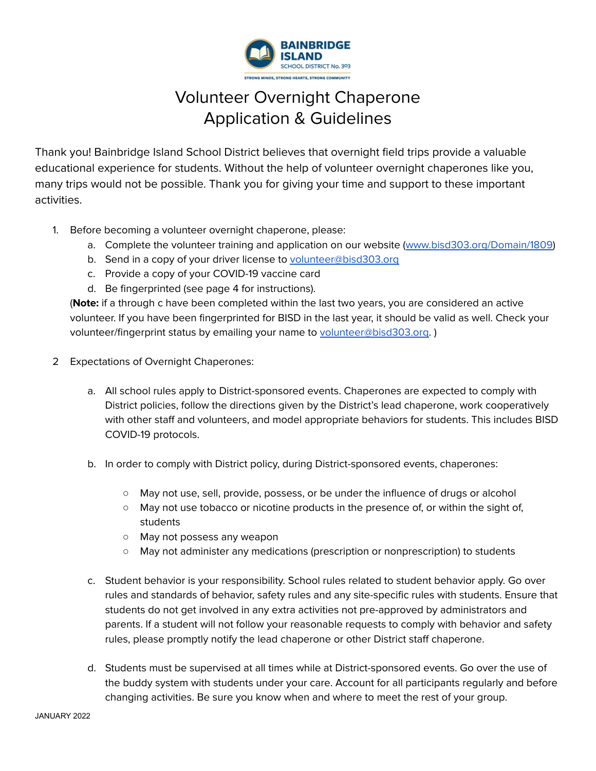

# Volunteer Overnight Chaperone Application & Guidelines

Thank you! Bainbridge Island School District believes that overnight field trips provide a valuable educational experience for students. Without the help of volunteer overnight chaperones like you, many trips would not be possible. Thank you for giving your time and support to these important activities.

- 1. Before becoming a volunteer overnight chaperone, please:
	- a. Complete the volunteer training and application on our website ([www.bisd303.org/Domain/1809](http://www.bisd303.org/Domain/1809))
	- b. Send in a copy of your driver license to [volunteer@bisd303.org](mailto:volunteer@bisd303.org)
	- c. Provide a copy of your COVID-19 vaccine card
	- d. Be fingerprinted (see page 4 for instructions).

(**Note:** if a through c have been completed within the last two years, you are considered an active volunteer. If you have been fingerprinted for BISD in the last year, it should be valid as well. Check your volunteer/fingerprint status by emailing your name to [volunteer@bisd303.org.](mailto:volunteer@bisd303.org))

- 2 Expectations of Overnight Chaperones:
	- a. All school rules apply to District-sponsored events. Chaperones are expected to comply with District policies, follow the directions given by the District's lead chaperone, work cooperatively with other staff and volunteers, and model appropriate behaviors for students. This includes BISD COVID-19 protocols.
	- b. In order to comply with District policy, during District-sponsored events, chaperones:
		- May not use, sell, provide, possess, or be under the influence of drugs or alcohol
		- May not use tobacco or nicotine products in the presence of, or within the sight of, students
		- May not possess any weapon
		- May not administer any medications (prescription or nonprescription) to students
	- c. Student behavior is your responsibility. School rules related to student behavior apply. Go over rules and standards of behavior, safety rules and any site-specific rules with students. Ensure that students do not get involved in any extra activities not pre-approved by administrators and parents. If a student will not follow your reasonable requests to comply with behavior and safety rules, please promptly notify the lead chaperone or other District staff chaperone.
	- d. Students must be supervised at all times while at District-sponsored events. Go over the use of the buddy system with students under your care. Account for all participants regularly and before changing activities. Be sure you know when and where to meet the rest of your group.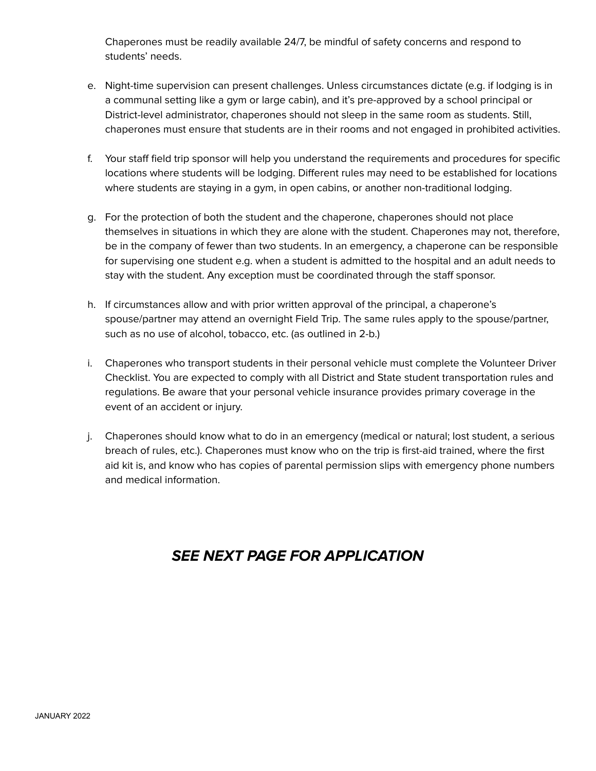Chaperones must be readily available 24/7, be mindful of safety concerns and respond to students' needs.

- e. Night-time supervision can present challenges. Unless circumstances dictate (e.g. if lodging is in a communal setting like a gym or large cabin), and it's pre-approved by a school principal or District-level administrator, chaperones should not sleep in the same room as students. Still, chaperones must ensure that students are in their rooms and not engaged in prohibited activities.
- f. Your staff field trip sponsor will help you understand the requirements and procedures for specific locations where students will be lodging. Different rules may need to be established for locations where students are staying in a gym, in open cabins, or another non-traditional lodging.
- g. For the protection of both the student and the chaperone, chaperones should not place themselves in situations in which they are alone with the student. Chaperones may not, therefore, be in the company of fewer than two students. In an emergency, a chaperone can be responsible for supervising one student e.g. when a student is admitted to the hospital and an adult needs to stay with the student. Any exception must be coordinated through the staff sponsor.
- h. If circumstances allow and with prior written approval of the principal, a chaperone's spouse/partner may attend an overnight Field Trip. The same rules apply to the spouse/partner, such as no use of alcohol, tobacco, etc. (as outlined in 2-b.)
- i. Chaperones who transport students in their personal vehicle must complete the Volunteer Driver Checklist. You are expected to comply with all District and State student transportation rules and regulations. Be aware that your personal vehicle insurance provides primary coverage in the event of an accident or injury.
- j. Chaperones should know what to do in an emergency (medical or natural; lost student, a serious breach of rules, etc.). Chaperones must know who on the trip is first-aid trained, where the first aid kit is, and know who has copies of parental permission slips with emergency phone numbers and medical information.

# **SEE NEXT PAGE FOR APPLICATION**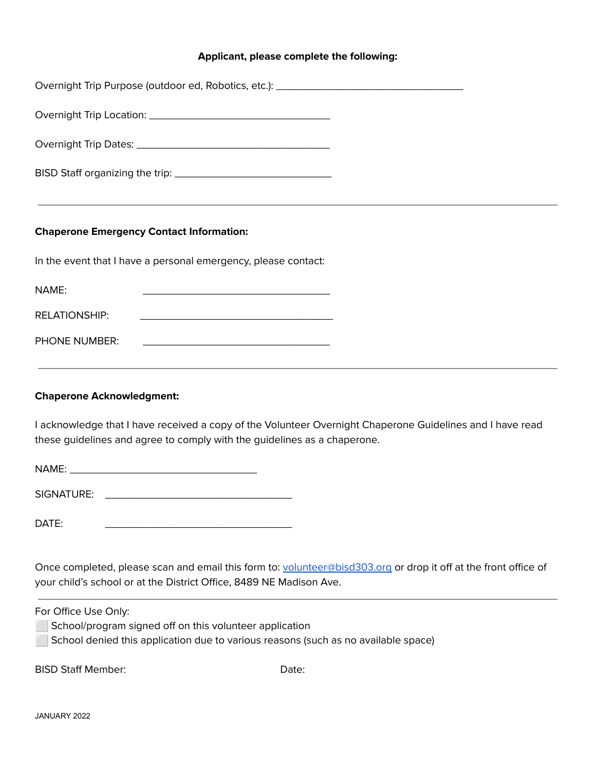## **Applicant, please complete the following:**

| Overnight Trip Purpose (outdoor ed, Robotics, etc.): ____________________________                                                                                                      |
|----------------------------------------------------------------------------------------------------------------------------------------------------------------------------------------|
|                                                                                                                                                                                        |
|                                                                                                                                                                                        |
|                                                                                                                                                                                        |
|                                                                                                                                                                                        |
| <b>Chaperone Emergency Contact Information:</b>                                                                                                                                        |
| In the event that I have a personal emergency, please contact:                                                                                                                         |
| NAME:<br><u> 1989 - Johann John Stone, mars eta bat eta bat eta bat eta bat ez arte eta bat ez arte eta bat ez arte eta b</u>                                                          |
| <b>RELATIONSHIP:</b><br><u> 1989 - Johann Stein, mars an deutscher Stein und der Stein und der Stein und der Stein und der Stein und der</u>                                           |
| <b>PHONE NUMBER:</b>                                                                                                                                                                   |
| ,我们也不能在这里的时候,我们也不能在这里的时候,我们也不能会在这里的时候,我们也不能会在这里的时候,我们也不能会在这里的时候,我们也不能会在这里的时候,我们也不                                                                                                      |
| <b>Chaperone Acknowledgment:</b>                                                                                                                                                       |
| I acknowledge that I have received a copy of the Volunteer Overnight Chaperone Guidelines and I have read<br>these guidelines and agree to comply with the guidelines as a chaperone.  |
|                                                                                                                                                                                        |
|                                                                                                                                                                                        |
| DATE:                                                                                                                                                                                  |
|                                                                                                                                                                                        |
| Once completed, please scan and email this form to: volunteer@bisd303.org or drop it off at the front office of<br>your child's school or at the District Office, 8489 NE Madison Ave. |

For Office Use Only:

- School/program signed off on this volunteer application
- ⬜ School denied this application due to various reasons (such as no available space)

BISD Staff Member: Date: